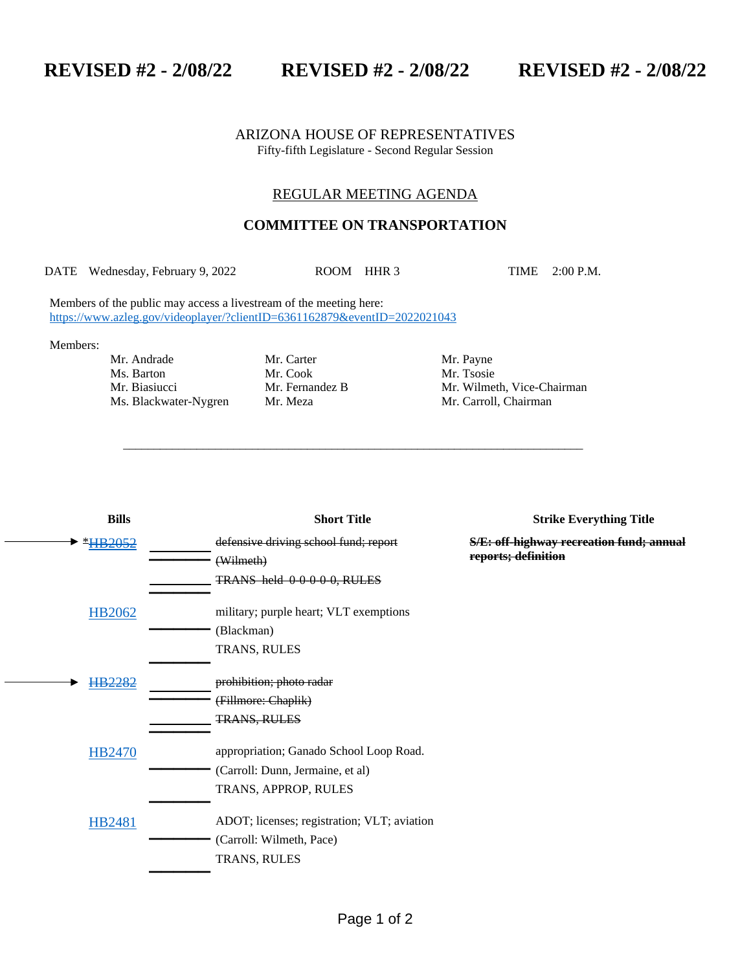**REVISED #2 - 2/08/22 REVISED #2 - 2/08/22 REVISED #2 - 2/08/22**

## ARIZONA HOUSE OF REPRESENTATIVES Fifty-fifth Legislature - Second Regular Session

## REGULAR MEETING AGENDA

## **COMMITTEE ON TRANSPORTATION**

DATE Wednesday, February 9, 2022 ROOM HHR 3 TIME 2:00 P.M.

\_\_\_\_\_\_\_\_\_\_\_\_\_\_\_\_\_\_\_\_\_\_\_\_\_\_\_\_\_\_\_\_\_\_\_\_\_\_\_\_\_\_\_\_\_\_\_\_\_\_\_\_\_\_\_\_\_\_\_\_\_\_\_\_\_\_\_\_\_\_\_\_\_\_\_

Members of the public may access a livestream of the meeting here: <https://www.azleg.gov/videoplayer/?clientID=6361162879&eventID=2022021043>

Members:

Mr. Andrade Mr. Carter Mr. Payne Ms. Barton Mr. Cook Mr. Tsosie

Mr. Biasiucci Mr. Fernandez B Mr. Wilmeth, Vice-Chairman Ms. Blackwater-Nygren Mr. Meza Mr. Carroll, Chairman

| <b>Bills</b>  | <b>Short Title</b>                          | <b>Strike Everything Title</b>                  |
|---------------|---------------------------------------------|-------------------------------------------------|
| *HB2052       | defensive driving school fund; report       | <b>S/E: off-highway recreation fund; annual</b> |
|               | (Wilmeth)                                   | reports; definition                             |
|               | TRANS held 00000, RULES                     |                                                 |
| <b>HB2062</b> | military; purple heart; VLT exemptions      |                                                 |
|               | (Blackman)                                  |                                                 |
|               | TRANS, RULES                                |                                                 |
| HB2282        | prohibition; photo radar                    |                                                 |
|               | (Fillmore: Chaplik)                         |                                                 |
|               | <b>TRANS, RULES</b>                         |                                                 |
|               |                                             |                                                 |
| <b>HB2470</b> | appropriation; Ganado School Loop Road.     |                                                 |
|               | (Carroll: Dunn, Jermaine, et al)            |                                                 |
|               | TRANS, APPROP, RULES                        |                                                 |
| <b>HB2481</b> | ADOT; licenses; registration; VLT; aviation |                                                 |
|               | (Carroll: Wilmeth, Pace)                    |                                                 |
|               | TRANS, RULES                                |                                                 |
|               |                                             |                                                 |